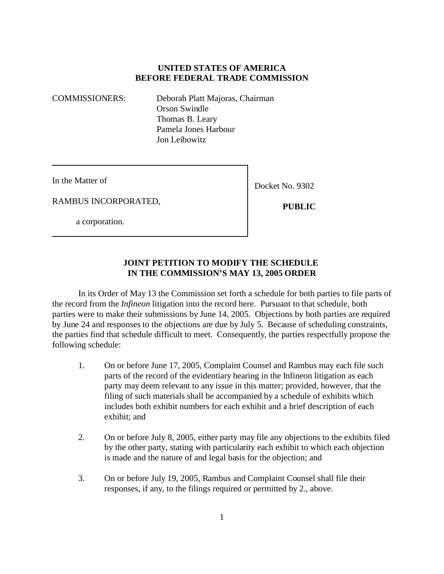### **UNITED STATES OF AMERICA BEFORE FEDERAL TRADE COMMISSION**

COMMISSIONERS: Deborah Platt Majoras, Chairman Orson Swindle Thomas B. Leary Pamela Jones Harbour Jon Leibowitz

In the Matter of

RAMBUS INCORPORATED,

a corporation.

Docket No. 9302

 **PUBLIC**

#### **JOINT PETITION TO MODIFY THE SCHEDULE IN THE COMMISSION'S MAY 13, 2005 ORDER**

In its Order of May 13 the Commission set forth a schedule for both parties to file parts of the record from the *Infineon* litigation into the record here. Pursuant to that schedule, both parties were to make their submissions by June 14, 2005. Objections by both parties are required by June 24 and responses to the objections are due by July 5. Because of scheduling constraints, the parties find that schedule difficult to meet. Consequently, the parties respectfully propose the following schedule:

- 1. On or before June 17, 2005, Complaint Counsel and Rambus may each file such parts of the record of the evidentiary hearing in the Infineon litigation as each party may deem relevant to any issue in this matter; provided, however, that the filing of such materials shall be accompanied by a schedule of exhibits which includes both exhibit numbers for each exhibit and a brief description of each exhibit; and
- 2. On or before July 8, 2005, either party may file any objections to the exhibits filed by the other party, stating with particularity each exhibit to which each objection is made and the nature of and legal basis for the objection; and
- 3. On or before July 19, 2005, Rambus and Complaint Counsel shall file their responses, if any, to the filings required or permitted by 2., above.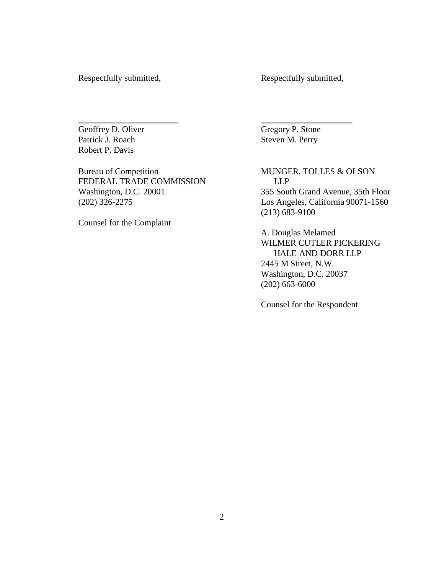Respectfully submitted, Respectfully submitted,

Patrick J. Roach Steven M. Perry Robert P. Davis

FEDERAL TRADE COMMISSION LLP<br>Washington, D.C. 20001 355 Sout

Counsel for the Complaint

Geoffrey D. Oliver Gregory P. Stone

**\_\_\_\_\_\_\_\_\_\_\_\_\_\_\_\_\_\_\_\_\_\_\_ \_\_\_\_\_\_\_\_\_\_\_\_\_\_\_\_\_\_\_\_\_**

Bureau of Competition MUNGER, TOLLES & OLSON 355 South Grand Avenue, 35th Floor (202) 326-2275 Los Angeles, California 90071-1560 (213) 683-9100

> A. Douglas Melamed WILMER CUTLER PICKERING HALE AND DORR LLP 2445 M Street, N.W. Washington, D.C. 20037 (202) 663-6000

Counsel for the Respondent